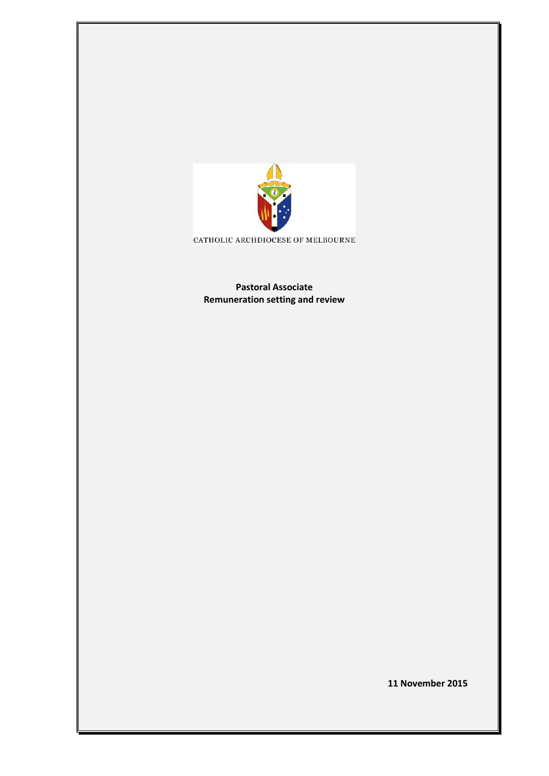

CATHOLIC ARCHDIOCESE OF MELBOURNE

**Pastoral Associate Remuneration setting and review** 

**11 November 2015**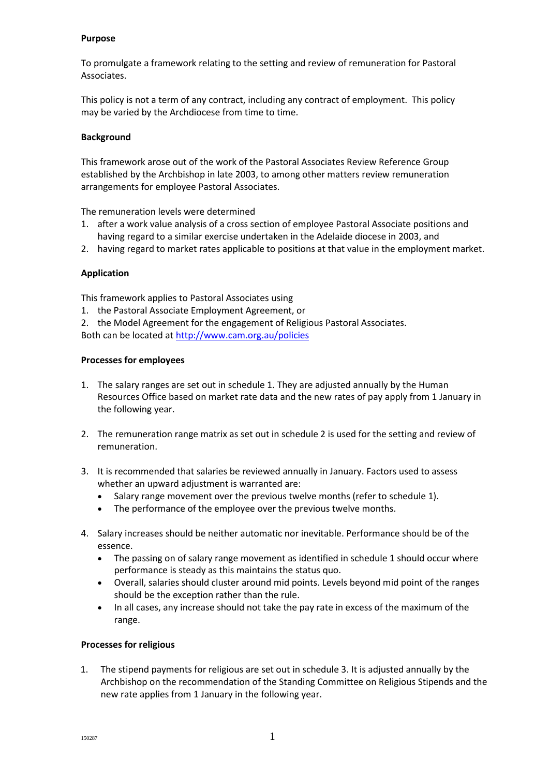#### **Purpose**

To promulgate a framework relating to the setting and review of remuneration for Pastoral Associates.

This policy is not a term of any contract, including any contract of employment. This policy may be varied by the Archdiocese from time to time.

### **Background**

This framework arose out of the work of the Pastoral Associates Review Reference Group established by the Archbishop in late 2003, to among other matters review remuneration arrangements for employee Pastoral Associates.

The remuneration levels were determined

- 1. after a work value analysis of a cross section of employee Pastoral Associate positions and having regard to a similar exercise undertaken in the Adelaide diocese in 2003, and
- 2. having regard to market rates applicable to positions at that value in the employment market.

## **Application**

This framework applies to Pastoral Associates using

- 1. the Pastoral Associate Employment Agreement, or
- 2. the Model Agreement for the engagement of Religious Pastoral Associates.

Both can be located a[t http://www.cam.org.au/policies](http://www.cam.org.au/policies)

### **Processes for employees**

- 1. The salary ranges are set out in schedule 1. They are adjusted annually by the Human Resources Office based on market rate data and the new rates of pay apply from 1 January in the following year.
- 2. The remuneration range matrix as set out in schedule 2 is used for the setting and review of remuneration.
- 3. It is recommended that salaries be reviewed annually in January. Factors used to assess whether an upward adjustment is warranted are:
	- Salary range movement over the previous twelve months (refer to schedule 1).
	- The performance of the employee over the previous twelve months.
- 4. Salary increases should be neither automatic nor inevitable. Performance should be of the essence.
	- The passing on of salary range movement as identified in schedule 1 should occur where performance is steady as this maintains the status quo.
	- Overall, salaries should cluster around mid points. Levels beyond mid point of the ranges should be the exception rather than the rule.
	- In all cases, any increase should not take the pay rate in excess of the maximum of the range.

### **Processes for religious**

1. The stipend payments for religious are set out in schedule 3. It is adjusted annually by the Archbishop on the recommendation of the Standing Committee on Religious Stipends and the new rate applies from 1 January in the following year.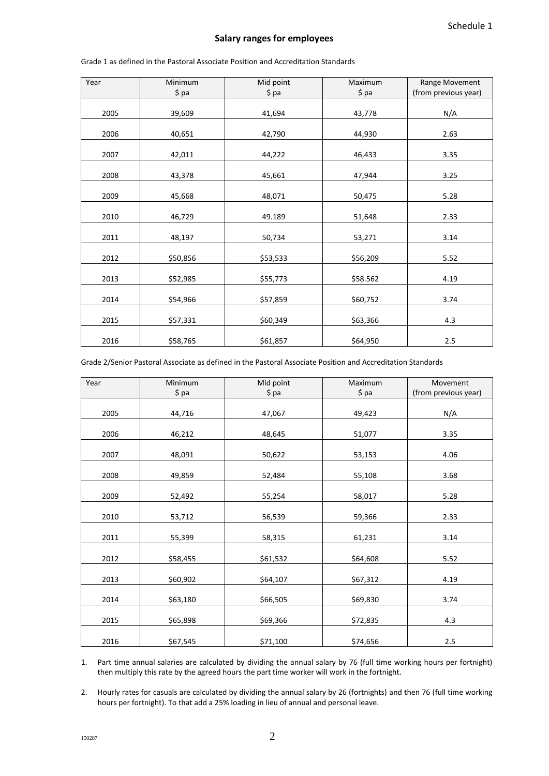#### **Salary ranges for employees**

| Year | Minimum  | Mid point | Maximum  | Range Movement       |
|------|----------|-----------|----------|----------------------|
|      | $$$ pa   | $$$ pa    | \$ pa    | (from previous year) |
|      |          |           |          |                      |
| 2005 | 39,609   | 41,694    | 43,778   | N/A                  |
|      |          |           |          |                      |
| 2006 | 40,651   | 42,790    | 44,930   | 2.63                 |
|      |          |           |          |                      |
| 2007 | 42,011   | 44,222    | 46,433   | 3.35                 |
|      |          |           |          |                      |
| 2008 | 43,378   | 45,661    | 47,944   | 3.25                 |
|      |          |           |          |                      |
| 2009 | 45,668   | 48,071    | 50,475   | 5.28                 |
| 2010 | 46,729   | 49.189    | 51,648   | 2.33                 |
|      |          |           |          |                      |
| 2011 | 48,197   | 50,734    | 53,271   | 3.14                 |
|      |          |           |          |                      |
| 2012 | \$50,856 | \$53,533  | \$56,209 | 5.52                 |
|      |          |           |          |                      |
| 2013 | \$52,985 | \$55,773  | \$58.562 | 4.19                 |
|      |          |           |          |                      |
| 2014 | \$54,966 | \$57,859  | \$60,752 | 3.74                 |
|      |          |           |          |                      |
| 2015 | \$57,331 | \$60,349  | \$63,366 | 4.3                  |
|      |          |           |          |                      |
| 2016 | \$58,765 | \$61,857  | \$64,950 | 2.5                  |

Grade 1 as defined in the Pastoral Associate Position and Accreditation Standards

Grade 2/Senior Pastoral Associate as defined in the Pastoral Associate Position and Accreditation Standards

| Year | Minimum  | Mid point | Maximum  | Movement             |
|------|----------|-----------|----------|----------------------|
|      | $$$ pa   | $$$ pa    | \$ pa    | (from previous year) |
| 2005 | 44,716   | 47,067    | 49,423   | N/A                  |
| 2006 | 46,212   | 48,645    | 51,077   | 3.35                 |
| 2007 | 48,091   | 50,622    | 53,153   | 4.06                 |
| 2008 | 49,859   | 52,484    | 55,108   | 3.68                 |
| 2009 | 52,492   | 55,254    | 58,017   | 5.28                 |
| 2010 | 53,712   | 56,539    | 59,366   | 2.33                 |
| 2011 | 55,399   | 58,315    | 61,231   | 3.14                 |
| 2012 | \$58,455 | \$61,532  | \$64,608 | 5.52                 |
| 2013 | \$60,902 | \$64,107  | \$67,312 | 4.19                 |
| 2014 | \$63,180 | \$66,505  | \$69,830 | 3.74                 |
| 2015 | \$65,898 | \$69,366  | \$72,835 | 4.3                  |
| 2016 | \$67,545 | \$71,100  | \$74,656 | 2.5                  |

1. Part time annual salaries are calculated by dividing the annual salary by 76 (full time working hours per fortnight) then multiply this rate by the agreed hours the part time worker will work in the fortnight.

2. Hourly rates for casuals are calculated by dividing the annual salary by 26 (fortnights) and then 76 (full time working hours per fortnight). To that add a 25% loading in lieu of annual and personal leave.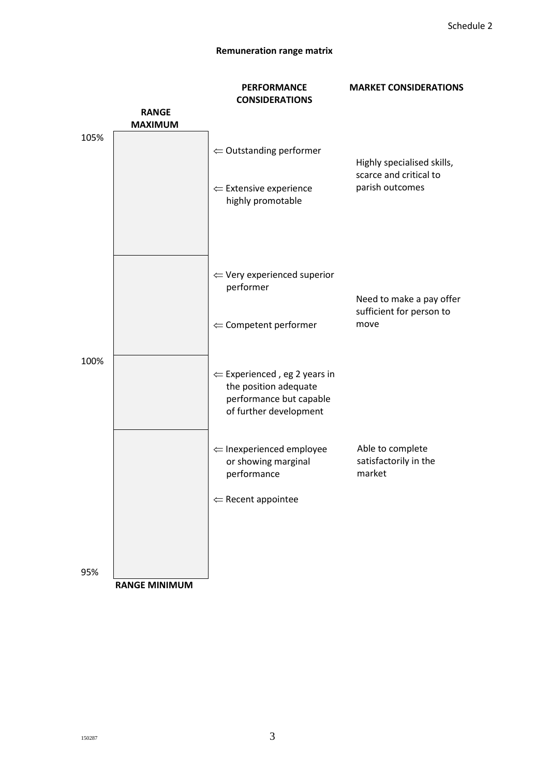# **Remuneration range matrix**

|      |                                | <b>PERFORMANCE</b>                                                                                                    | <b>MARKET CONSIDERATIONS</b>                                            |  |
|------|--------------------------------|-----------------------------------------------------------------------------------------------------------------------|-------------------------------------------------------------------------|--|
|      |                                | <b>CONSIDERATIONS</b>                                                                                                 |                                                                         |  |
|      | <b>RANGE</b><br><b>MAXIMUM</b> |                                                                                                                       |                                                                         |  |
| 105% |                                |                                                                                                                       |                                                                         |  |
|      |                                | $\Leftarrow$ Outstanding performer                                                                                    | Highly specialised skills,<br>scarce and critical to<br>parish outcomes |  |
|      |                                | $\Leftarrow$ Extensive experience<br>highly promotable                                                                |                                                                         |  |
|      |                                | $\Leftarrow$ Very experienced superior<br>performer                                                                   | Need to make a pay offer<br>sufficient for person to                    |  |
|      |                                | $\Leftarrow$ Competent performer                                                                                      | move                                                                    |  |
| 100% |                                | $\Leftarrow$ Experienced, eg 2 years in<br>the position adequate<br>performance but capable<br>of further development |                                                                         |  |
|      |                                | $\Leftarrow$ Inexperienced employee<br>or showing marginal<br>performance                                             | Able to complete<br>satisfactorily in the<br>market                     |  |
|      |                                | $\Leftarrow$ Recent appointee                                                                                         |                                                                         |  |
|      |                                |                                                                                                                       |                                                                         |  |
| 95%  | <b>RANGE MINIMUM</b>           |                                                                                                                       |                                                                         |  |